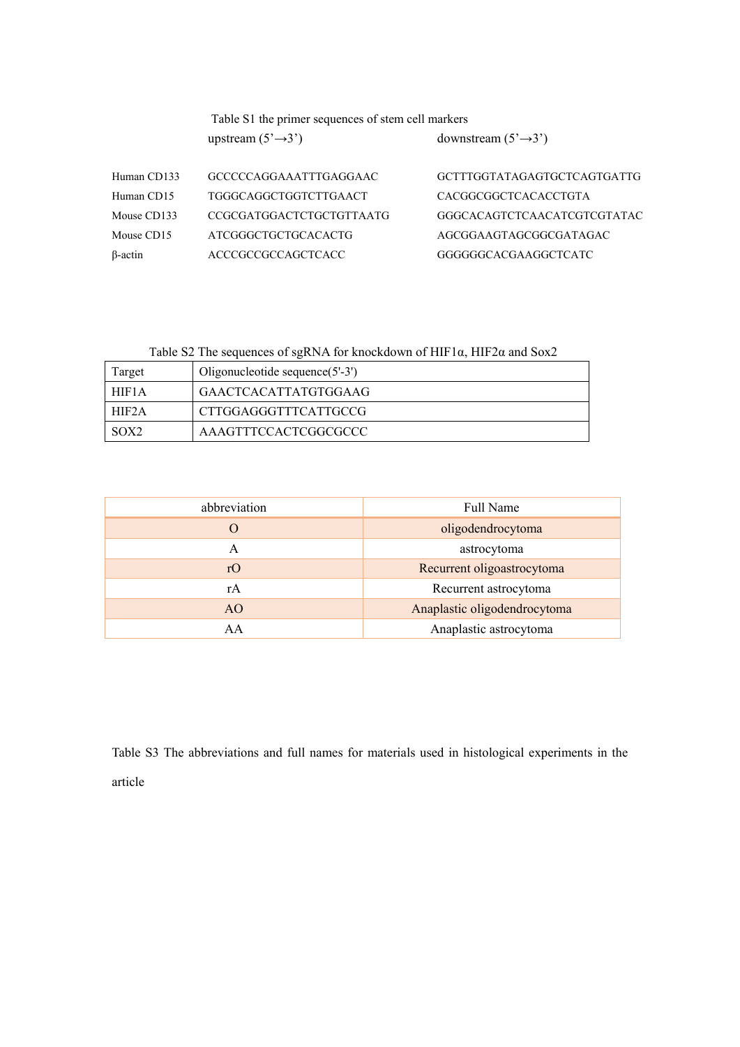|                | Table S1 the primer sequences of stem cell markers<br>upstream $(5' \rightarrow 3')$ | downstream $(5' \rightarrow 3')$ |
|----------------|--------------------------------------------------------------------------------------|----------------------------------|
| Human CD133    | GCCCCCAGGAAATTTGAGGAAC                                                               | GCTTTGGTATAGAGTGCTCAGTGATTG      |
| Human CD15     | TGGGCAGGCTGGTCTTGAACT                                                                | CACGGCGGCTCACACCTGTA             |
| Mouse CD133    | CCGCGATGGACTCTGCTGTTAATG                                                             | GGGCACAGTCTCAACATCGTCGTATAC      |
| Mouse CD15     | ATCGGGCTGCTGCACACTG                                                                  | AGCGGAAGTAGCGGCGATAGAC           |
| $\beta$ -actin | ACCCGCCGCCAGCTCACC                                                                   | GGGGGGCACGAAGGCTCATC             |

Table S2 The sequences of sgRNA for knockdown of HIF1α, HIF2α and Sox2

| Target           | Oligonucleotide sequence $(5'-3')$ |
|------------------|------------------------------------|
| HIF1A            | GAACTCACATTATGTGGAAG               |
| HIF2A            | CTTGGAGGGTTTCATTGCCG               |
| SOX <sub>2</sub> | AAAGTTTCCACTCGGCGCCC               |

| abbreviation   | Full Name                    |
|----------------|------------------------------|
| O              | oligodendrocytoma            |
| A              | astrocytoma                  |
| rO             | Recurrent oligoastrocytoma   |
| rA             | Recurrent astrocytoma        |
| A <sub>O</sub> | Anaplastic oligodendrocytoma |
| AA             | Anaplastic astrocytoma       |

Table S3 The abbreviations and full names for materials used in histological experiments in the article